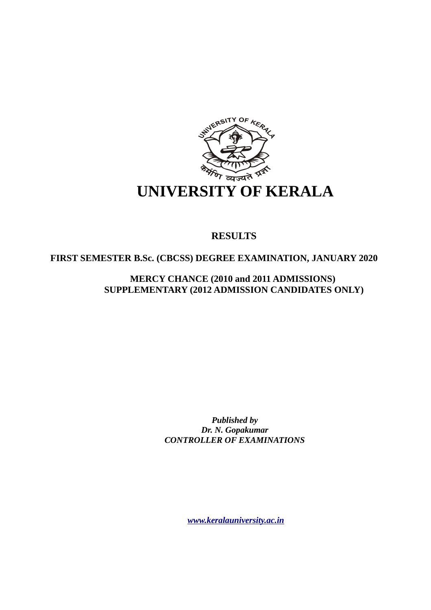

# **RESULTS**

 **FIRST SEMESTER B.Sc. (CBCSS) DEGREE EXAMINATION, JANUARY 2020**

**MERCY CHANCE (2010 and 2011 ADMISSIONS) SUPPLEMENTARY (2012 ADMISSION CANDIDATES ONLY)** 

> *Published by Dr. N. Gopakumar CONTROLLER OF EXAMINATIONS*

> > *[www.keralauniversity.ac.in](http://www.keralauniversity.ac.in/)*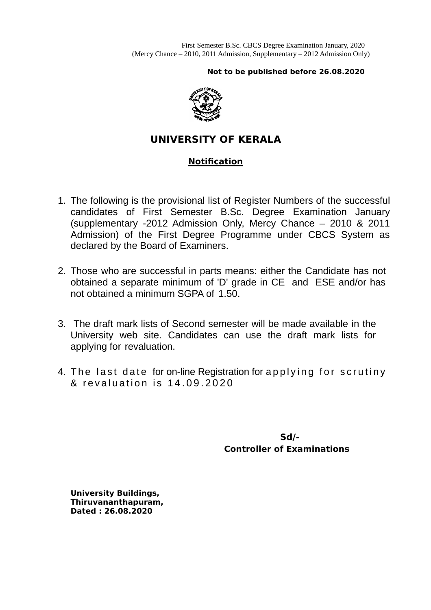**Not to be published before 26.08.2020**



# **UNIVERSITY OF KERALA**

# **Notification**

- 1. The following is the provisional list of Register Numbers of the successful candidates of First Semester B.Sc. Degree Examination January (supplementary -2012 Admission Only, Mercy Chance – 2010 & 2011 Admission) of the First Degree Programme under CBCS System as declared by the Board of Examiners.
- 2. Those who are successful in parts means: either the Candidate has not obtained a separate minimum of 'D' grade in CE and ESE and/or has not obtained a minimum SGPA of 1.50.
- 3. The draft mark lists of Second semester will be made available in the University web site. Candidates can use the draft mark lists for applying for revaluation.
- 4. The last date for on-line Registration for applying for scrutiny & revaluation is 14.09.2020

 **Sd/- Controller of Examinations**

**University Buildings, Thiruvananthapuram, Dated : 26.08.2020**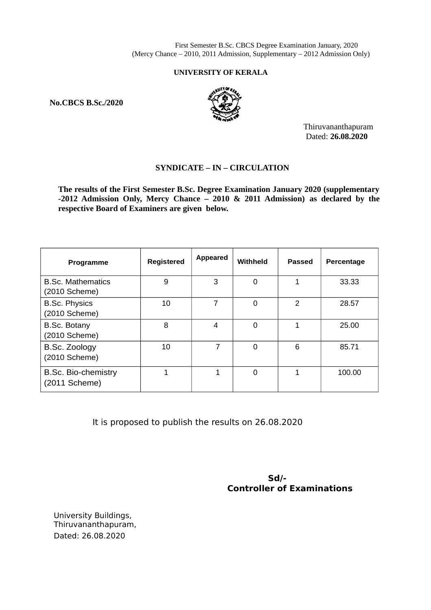First Semester B.Sc. CBCS Degree Examination January, 2020 (Mercy Chance – 2010, 2011 Admission, Supplementary – 2012 Admission Only)

### **UNIVERSITY OF KERALA**

**No.CBCS B.Sc./2020**



Thiruvananthapuram Dated: **26.08.2020**

# **SYNDICATE – IN – CIRCULATION**

**The results of the First Semester B.Sc. Degree Examination January 2020 (supplementary -2012 Admission Only, Mercy Chance – 2010 & 2011 Admission) as declared by the respective Board of Examiners are given below.**

| Programme                                     | <b>Registered</b> | Appeared | Withheld | <b>Passed</b> | Percentage |
|-----------------------------------------------|-------------------|----------|----------|---------------|------------|
| <b>B.Sc. Mathematics</b><br>(2010 Scheme)     | 9                 | 3        | 0        | 1             | 33.33      |
| <b>B.Sc. Physics</b><br>(2010 Scheme)         | 10                | 7        | 0        | $\mathcal{P}$ | 28.57      |
| B.Sc. Botany<br>(2010 Scheme)                 | 8                 | 4        | 0        | 1             | 25.00      |
| B.Sc. Zoology<br>(2010 Scheme)                | 10                | 7        | $\Omega$ | 6             | 85.71      |
| <b>B.Sc. Bio-chemistry</b><br>$(2011$ Scheme) | 1                 | 1        | 0        | 1             | 100.00     |

It is proposed to publish the results on 26.08.2020

 **Sd/- Controller of Examinations**

University Buildings, Thiruvananthapuram, Dated: 26.08.2020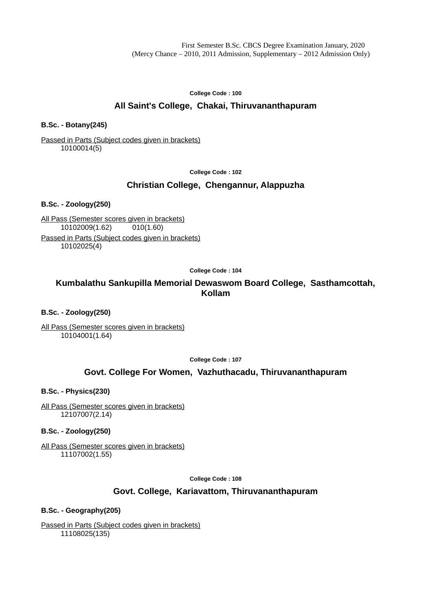**College Code : 100**

# **All Saint's College, Chakai, Thiruvananthapuram**

## **B.Sc. - Botany(245)**

### Passed in Parts (Subject codes given in brackets) 10100014(5)

**College Code : 102**

# **Christian College, Chengannur, Alappuzha**

**B.Sc. - Zoology(250)**

All Pass (Semester scores given in brackets) 10102009(1.62) 010(1.60)

Passed in Parts (Subject codes given in brackets) 10102025(4)

**College Code : 104**

# **Kumbalathu Sankupilla Memorial Dewaswom Board College, Sasthamcottah, Kollam**

**B.Sc. - Zoology(250)**

All Pass (Semester scores given in brackets) 10104001(1.64)

**College Code : 107**

# **Govt. College For Women, Vazhuthacadu, Thiruvananthapuram**

**B.Sc. - Physics(230)**

All Pass (Semester scores given in brackets) 12107007(2.14)

**B.Sc. - Zoology(250)**

All Pass (Semester scores given in brackets) 11107002(1.55)

**College Code : 108**

# **Govt. College, Kariavattom, Thiruvananthapuram**

### **B.Sc. - Geography(205)**

Passed in Parts (Subject codes given in brackets) 11108025(135)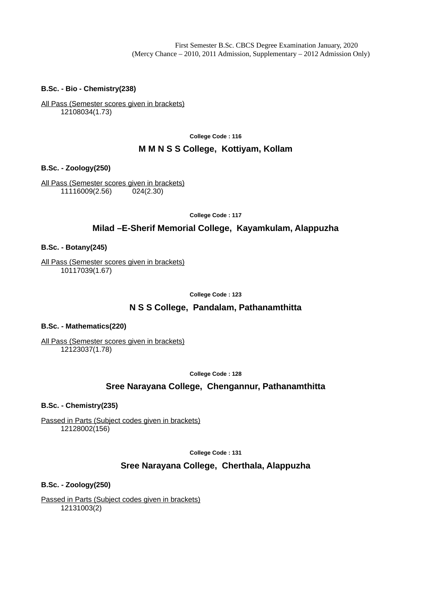#### **B.Sc. - Bio - Chemistry(238)**

All Pass (Semester scores given in brackets) 12108034(1.73)

**College Code : 116**

### **M M N S S College, Kottiyam, Kollam**

**B.Sc. - Zoology(250)**

All Pass (Semester scores given in brackets) 11116009(2.56) 024(2.30)

**College Code : 117**

### **Milad –E-Sherif Memorial College, Kayamkulam, Alappuzha**

#### **B.Sc. - Botany(245)**

All Pass (Semester scores given in brackets) 10117039(1.67)

**College Code : 123**

# **N S S College, Pandalam, Pathanamthitta**

#### **B.Sc. - Mathematics(220)**

All Pass (Semester scores given in brackets) 12123037(1.78)

**College Code : 128**

# **Sree Narayana College, Chengannur, Pathanamthitta**

**B.Sc. - Chemistry(235)**

Passed in Parts (Subject codes given in brackets) 12128002(156)

**College Code : 131**

### **Sree Narayana College, Cherthala, Alappuzha**

**B.Sc. - Zoology(250)**

Passed in Parts (Subject codes given in brackets) 12131003(2)